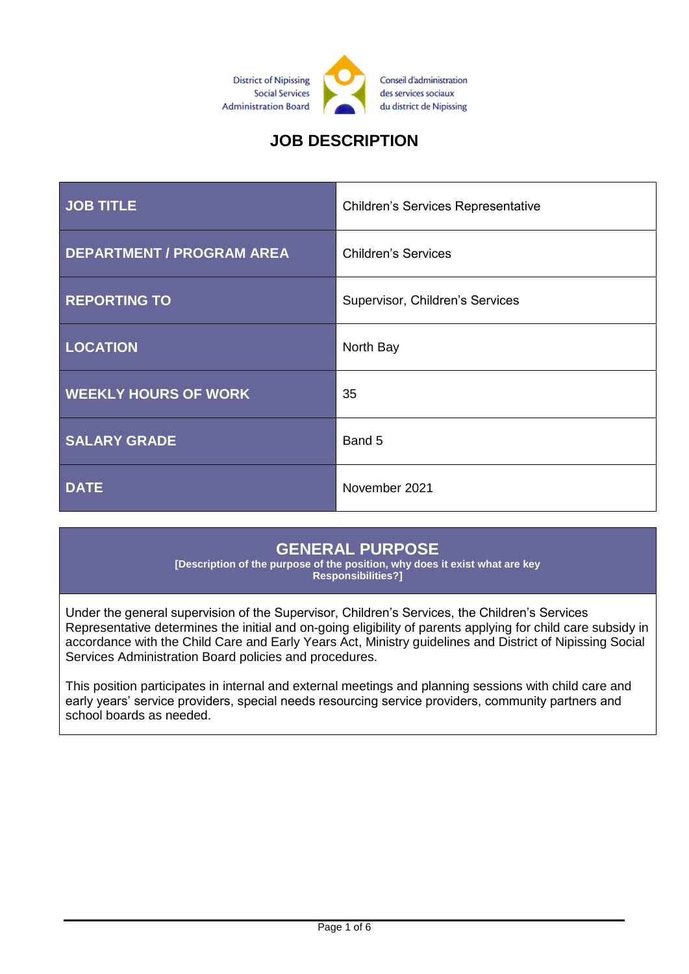

# **JOB DESCRIPTION**

| <b>JOB TITLE</b>                 | <b>Children's Services Representative</b> |
|----------------------------------|-------------------------------------------|
| <b>DEPARTMENT / PROGRAM AREA</b> | <b>Children's Services</b>                |
| <b>REPORTING TO</b>              | Supervisor, Children's Services           |
| <b>LOCATION</b>                  | North Bay                                 |
| <b>WEEKLY HOURS OF WORK</b>      | 35                                        |
| <b>SALARY GRADE</b>              | Band 5                                    |
| <b>DATE</b>                      | November 2021                             |

### **GENERAL PURPOSE**

**[Description of the purpose of the position, why does it exist what are key Responsibilities?]**

Under the general supervision of the Supervisor, Children's Services, the Children's Services Representative determines the initial and on-going eligibility of parents applying for child care subsidy in accordance with the Child Care and Early Years Act, Ministry guidelines and District of Nipissing Social Services Administration Board policies and procedures.

This position participates in internal and external meetings and planning sessions with child care and early years' service providers, special needs resourcing service providers, community partners and school boards as needed.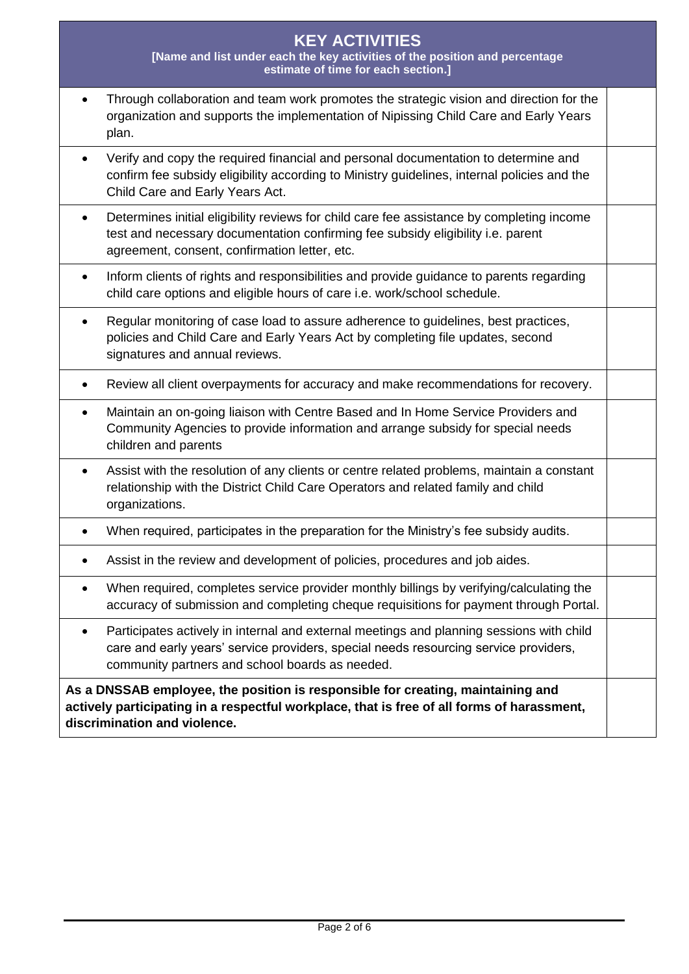#### **KEY ACTIVITIES [Name and list under each the key activities of the position and percentage estimate of time for each section.]**

| Through collaboration and team work promotes the strategic vision and direction for the |
|-----------------------------------------------------------------------------------------|
| organization and supports the implementation of Nipissing Child Care and Early Years    |
| plan.                                                                                   |

- Verify and copy the required financial and personal documentation to determine and confirm fee subsidy eligibility according to Ministry guidelines, internal policies and the Child Care and Early Years Act.
- Determines initial eligibility reviews for child care fee assistance by completing income test and necessary documentation confirming fee subsidy eligibility i.e. parent agreement, consent, confirmation letter, etc.
- Inform clients of rights and responsibilities and provide guidance to parents regarding child care options and eligible hours of care i.e. work/school schedule.
- Regular monitoring of case load to assure adherence to guidelines, best practices, policies and Child Care and Early Years Act by completing file updates, second signatures and annual reviews.
- Review all client overpayments for accuracy and make recommendations for recovery.
- Maintain an on-going liaison with Centre Based and In Home Service Providers and Community Agencies to provide information and arrange subsidy for special needs children and parents
- Assist with the resolution of any clients or centre related problems, maintain a constant relationship with the District Child Care Operators and related family and child organizations.
- When required, participates in the preparation for the Ministry's fee subsidy audits.
- Assist in the review and development of policies, procedures and job aides.
- When required, completes service provider monthly billings by verifying/calculating the accuracy of submission and completing cheque requisitions for payment through Portal.
- Participates actively in internal and external meetings and planning sessions with child care and early years' service providers, special needs resourcing service providers, community partners and school boards as needed.

**As a DNSSAB employee, the position is responsible for creating, maintaining and actively participating in a respectful workplace, that is free of all forms of harassment, discrimination and violence.**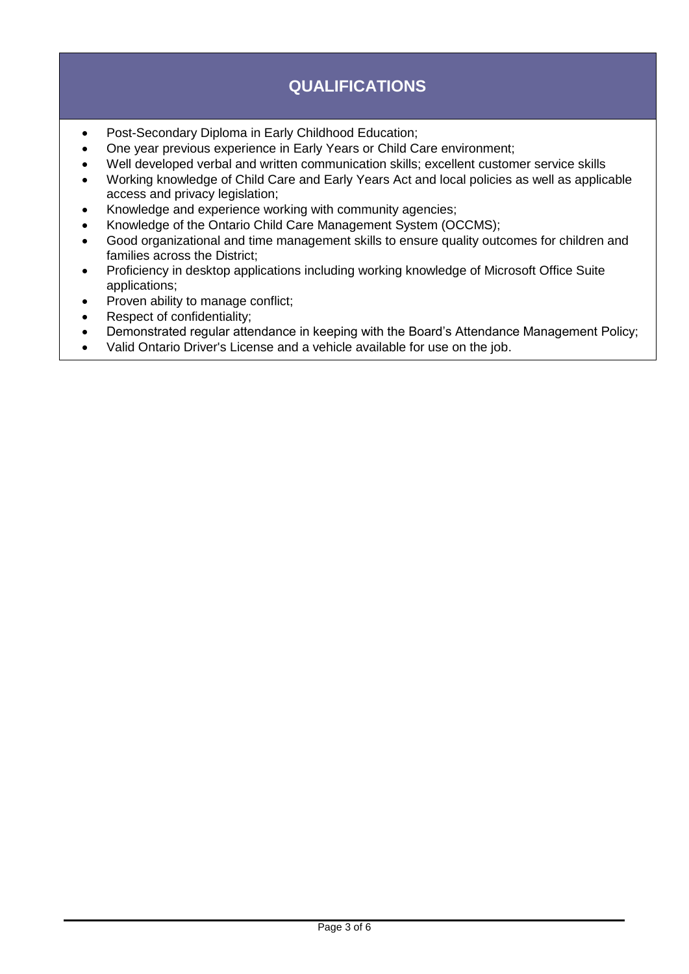# **QUALIFICATIONS**

- Post-Secondary Diploma in Early Childhood Education;
- One year previous experience in Early Years or Child Care environment;
- Well developed verbal and written communication skills; excellent customer service skills
- Working knowledge of Child Care and Early Years Act and local policies as well as applicable access and privacy legislation;
- Knowledge and experience working with community agencies;
- Knowledge of the Ontario Child Care Management System (OCCMS);
- Good organizational and time management skills to ensure quality outcomes for children and families across the District;
- Proficiency in desktop applications including working knowledge of Microsoft Office Suite applications;
- Proven ability to manage conflict;
- Respect of confidentiality;
- Demonstrated regular attendance in keeping with the Board's Attendance Management Policy;
- Valid Ontario Driver's License and a vehicle available for use on the job.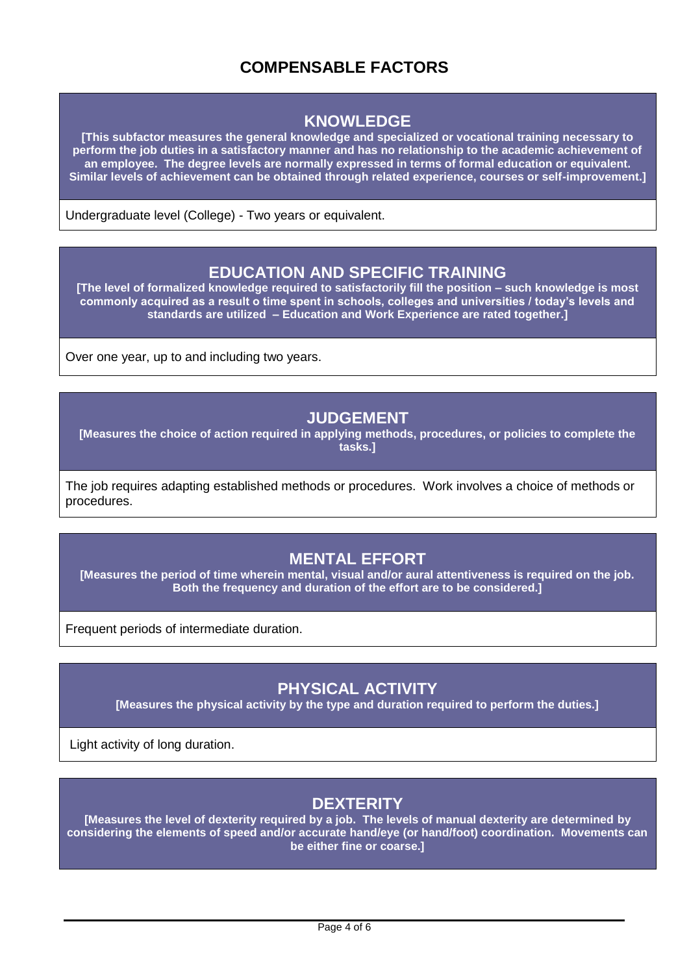## **COMPENSABLE FACTORS**

### **KNOWLEDGE**

**[This subfactor measures the general knowledge and specialized or vocational training necessary to perform the job duties in a satisfactory manner and has no relationship to the academic achievement of an employee. The degree levels are normally expressed in terms of formal education or equivalent. Similar levels of achievement can be obtained through related experience, courses or self-improvement.]**

Undergraduate level (College) - Two years or equivalent.

#### **EDUCATION AND SPECIFIC TRAINING**

**[The level of formalized knowledge required to satisfactorily fill the position – such knowledge is most commonly acquired as a result o time spent in schools, colleges and universities / today's levels and standards are utilized – Education and Work Experience are rated together.]**

Over one year, up to and including two years.

#### **JUDGEMENT**

**[Measures the choice of action required in applying methods, procedures, or policies to complete the tasks.]**

The job requires adapting established methods or procedures. Work involves a choice of methods or procedures.

### **MENTAL EFFORT**

**[Measures the period of time wherein mental, visual and/or aural attentiveness is required on the job. Both the frequency and duration of the effort are to be considered.]**

Frequent periods of intermediate duration.

## **PHYSICAL ACTIVITY**

**[Measures the physical activity by the type and duration required to perform the duties.]**

Light activity of long duration.

### **DEXTERITY**

**[Measures the level of dexterity required by a job. The levels of manual dexterity are determined by considering the elements of speed and/or accurate hand/eye (or hand/foot) coordination. Movements can be either fine or coarse.]**